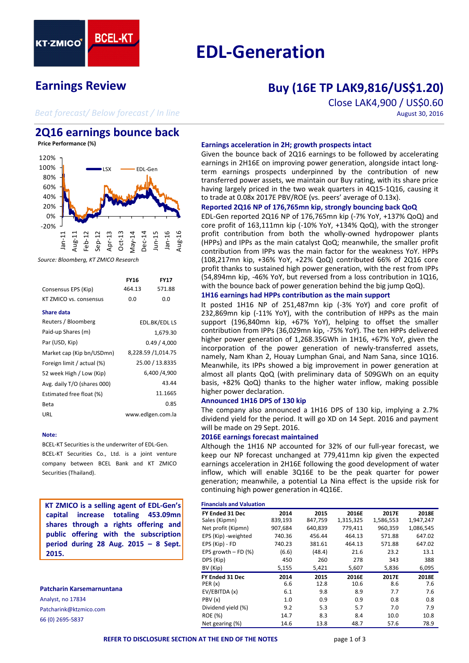

# **EDL‐Generation**

# **Earnings Review**

# **Buy (16E TP LAK9,816/US\$1.20)**

*Beat forecast/ Below forecast / In line*

# Close LAK4,900 / US\$0.60 August 30, 2016

# **2Q16 earnings bounce back**

**Price Performance (%)**



*Source: Bloomberg, KT ZMICO Research*

| Consensus EPS (Kip)         | FY16<br>464.13 | <b>FY17</b><br>571.88 |  |  |  |
|-----------------------------|----------------|-----------------------|--|--|--|
| KT ZMICO vs. consensus      | 0.0            | 0.0                   |  |  |  |
| Share data                  |                |                       |  |  |  |
| Reuters / Bloomberg         | EDL.BK/EDL LS  |                       |  |  |  |
| Paid-up Shares (m)          | 1,679.30       |                       |  |  |  |
| Par (USD, Kip)              | 0.49/4.000     |                       |  |  |  |
| Market cap (Kip bn/USDmn)   |                | 8,228.59 /1,014.75    |  |  |  |
| Foreign limit / actual (%)  |                | 25.00 / 13.8335       |  |  |  |
| 52 week High / Low (Kip)    |                | 6.400 /4.900          |  |  |  |
| Avg. daily T/O (shares 000) |                | 43.44                 |  |  |  |
| Estimated free float (%)    |                | 11.1665               |  |  |  |
| Beta                        |                | 0.85                  |  |  |  |
| URL                         |                | www.edlgen.com.la     |  |  |  |

#### **Note:**

BCEL‐KT Securities is the underwriter of EDL‐Gen. BCEL‐KT Securities Co., Ltd. is a joint venture company between BCEL Bank and KT ZMICO Securities (Thailand).

**KT ZMICO is a selling agent of EDL‐Gen's capital increase totaling 453.09mn shares through a rights offering and public offering with the subscription period during 28 Aug. 2015 – 8 Sept. 2015.**

# **Patcharin Karsemarnuntana**

Analyst, no 17834 Patcharink@ktzmico.com 66 (0) 2695‐5837

#### **Earnings acceleration in 2H; growth prospects intact**

Given the bounce back of 2Q16 earnings to be followed by accelerating earnings in 2H16E on improving power generation, alongside intact long‐ term earnings prospects underpinned by the contribution of new transferred power assets, we maintain our Buy rating, with its share price having largely priced in the two weak quarters in 4Q15-1Q16, causing it to trade at 0.08x 2017E PBV/ROE (vs. peers' average of 0.13x).

#### **Reported 2Q16 NP of 176,765mn kip, strongly bouncing back QoQ**

EDL‐Gen reported 2Q16 NP of 176,765mn kip (‐7% YoY, +137% QoQ) and core profit of 163,111mn kip (‐10% YoY, +134% QoQ), with the stronger profit contribution from both the wholly‐owned hydropower plants (HPPs) and IPPs as the main catalyst QoQ; meanwhile, the smaller profit contribution from IPPs was the main factor for the weakness YoY. HPPs (108,217mn kip, +36% YoY, +22% QoQ) contributed 66% of 2Q16 core profit thanks to sustained high power generation, with the rest from IPPs (54,894mn kip, ‐46% YoY, but reversed from a loss contribution in 1Q16, with the bounce back of power generation behind the big jump QoQ).

#### **1H16 earnings had HPPs contribution as the main support**

It posted 1H16 NP of 251,487mn kip (‐3% YoY) and core profit of 232,869mn kip (‐11% YoY), with the contribution of HPPs as the main support (196,840mn kip, +67% YoY), helping to offset the smaller contribution from IPPs (36,029mn kip, ‐75% YoY). The ten HPPs delivered higher power generation of 1,268.35GWh in 1H16, +67% YoY, given the incorporation of the power generation of newly-transferred assets, namely, Nam Khan 2, Houay Lumphan Gnai, and Nam Sana, since 1Q16. Meanwhile, its IPPs showed a big improvement in power generation at almost all plants QoQ (with preliminary data of 509GWh on an equity basis, +82% QoQ) thanks to the higher water inflow, making possible higher power declaration.

#### **Announced 1H16 DPS of 130 kip**

The company also announced a 1H16 DPS of 130 kip, implying a 2.7% dividend yield for the period. It will go XD on 14 Sept. 2016 and payment will be made on 29 Sept. 2016.

#### **2016E earnings forecast maintained**

Although the 1H16 NP accounted for 32% of our full‐year forecast, we keep our NP forecast unchanged at 779,411mn kip given the expected earnings acceleration in 2H16E following the good development of water inflow, which will enable 3Q16E to be the peak quarter for power generation; meanwhile, a potential La Nina effect is the upside risk for continuing high power generation in 4Q16E.

#### **Financials and Valuation**

| FY Ended 31 Dec          | 2014    | 2015    | 2016E     | 2017E     | 2018E     |
|--------------------------|---------|---------|-----------|-----------|-----------|
| Sales (Kipmn)            | 839,193 | 847,759 | 1,315,325 | 1,586,553 | 1,947,247 |
| Net profit (Kipmn)       | 907,684 | 640,839 | 779,411   | 960,359   | 1,086,545 |
| EPS (Kip) - weighted     | 740.36  | 456.44  | 464.13    | 571.88    | 647.02    |
| EPS (Kip) - FD           | 740.23  | 381.61  | 464.13    | 571.88    | 647.02    |
| EPS growth $-$ FD $(\%)$ | (6.6)   | (48.4)  | 21.6      | 23.2      | 13.1      |
| DPS (Kip)                | 450     | 260     | 278       | 343       | 388       |
| BV (Kip)                 | 5,155   | 5,421   | 5,607     | 5,836     | 6,095     |
| FY Ended 31 Dec          | 2014    | 2015    | 2016E     | 2017E     | 2018E     |
| PER(x)                   | 6.6     | 12.8    | 10.6      | 8.6       | 7.6       |
| EV/EBITDA (x)            | 6.1     | 9.8     | 8.9       | 7.7       | 7.6       |
| PBV(x)                   | 1.0     | 0.9     | 0.9       | 0.8       | 0.8       |
| Dividend yield (%)       | 9.2     | 5.3     | 5.7       | 7.0       | 7.9       |
| <b>ROE (%)</b>           | 14.7    | 8.3     | 8.4       | 10.0      | 10.8      |
| Net gearing (%)          | 14.6    | 13.8    | 48.7      | 57.6      | 78.9      |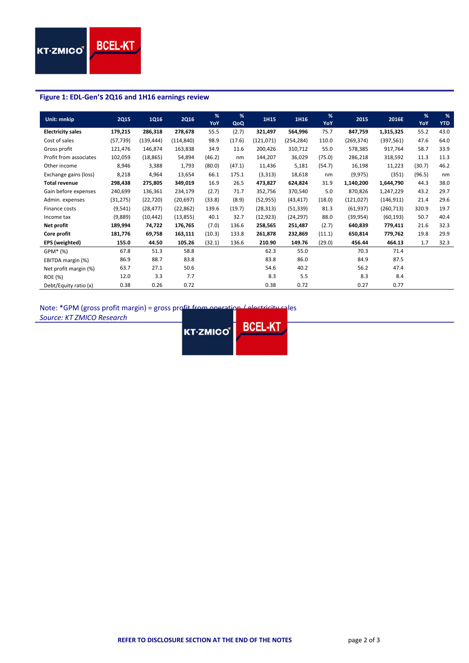#### **Figure 1: EDL‐Gen's 2Q16 and 1H16 earnings review**

| Unit: mnkip              | <b>2Q15</b> | 1Q16       | <b>2Q16</b> | %<br><b>YoY</b> | %<br>QoQ | 1H15       | 1H16       | %<br>YoY | 2015       | 2016E      | %<br>YoY | %<br><b>YTD</b> |
|--------------------------|-------------|------------|-------------|-----------------|----------|------------|------------|----------|------------|------------|----------|-----------------|
| <b>Electricity sales</b> | 179,215     | 286,318    | 278,678     | 55.5            | (2.7)    | 321,497    | 564,996    | 75.7     | 847,759    | 1,315,325  | 55.2     | 43.0            |
| Cost of sales            | (57, 739)   | (139, 444) | (114, 840)  | 98.9            | (17.6)   | (121, 071) | (254, 284) | 110.0    | (269, 374) | (397, 561) | 47.6     | 64.0            |
| Gross profit             | 121,476     | 146,874    | 163,838     | 34.9            | 11.6     | 200,426    | 310,712    | 55.0     | 578,385    | 917,764    | 58.7     | 33.9            |
| Profit from associates   | 102,059     | (18, 865)  | 54,894      | (46.2)          | nm       | 144,207    | 36,029     | (75.0)   | 286,218    | 318,592    | 11.3     | 11.3            |
| Other income             | 8,946       | 3,388      | 1,793       | (80.0)          | (47.1)   | 11,436     | 5,181      | (54.7)   | 16,198     | 11,223     | (30.7)   | 46.2            |
| Exchange gains (loss)    | 8,218       | 4,964      | 13,654      | 66.1            | 175.1    | (3, 313)   | 18,618     | nm       | (9, 975)   | (351)      | (96.5)   | nm              |
| <b>Total revenue</b>     | 298,438     | 275,805    | 349,019     | 16.9            | 26.5     | 473,827    | 624,824    | 31.9     | 1,140,200  | 1,644,790  | 44.3     | 38.0            |
| Gain before expenses     | 240,699     | 136,361    | 234,179     | (2.7)           | 71.7     | 352,756    | 370,540    | 5.0      | 870,826    | 1,247,229  | 43.2     | 29.7            |
| Admin. expenses          | (31, 275)   | (22, 720)  | (20, 697)   | (33.8)          | (8.9)    | (52, 955)  | (43, 417)  | (18.0)   | (121, 027) | (146, 911) | 21.4     | 29.6            |
| Finance costs            | (9, 541)    | (28, 477)  | (22, 862)   | 139.6           | (19.7)   | (28, 313)  | (51, 339)  | 81.3     | (61, 937)  | (260, 713) | 320.9    | 19.7            |
| Income tax               | (9,889)     | (10, 442)  | (13, 855)   | 40.1            | 32.7     | (12, 923)  | (24, 297)  | 88.0     | (39, 954)  | (60, 193)  | 50.7     | 40.4            |
| Net profit               | 189,994     | 74,722     | 176,765     | (7.0)           | 136.6    | 258,565    | 251,487    | (2.7)    | 640,839    | 779,411    | 21.6     | 32.3            |
| Core profit              | 181,776     | 69,758     | 163,111     | (10.3)          | 133.8    | 261,878    | 232,869    | (11.1)   | 650,814    | 779,762    | 19.8     | 29.9            |
| EPS (weighted)           | 155.0       | 44.50      | 105.26      | (32.1)          | 136.6    | 210.90     | 149.76     | (29.0)   | 456.44     | 464.13     | 1.7      | 32.3            |
| GPM* (%)                 | 67.8        | 51.3       | 58.8        |                 |          | 62.3       | 55.0       |          | 70.3       | 71.4       |          |                 |
| EBITDA margin (%)        | 86.9        | 88.7       | 83.8        |                 |          | 83.8       | 86.0       |          | 84.9       | 87.5       |          |                 |
| Net profit margin (%)    | 63.7        | 27.1       | 50.6        |                 |          | 54.6       | 40.2       |          | 56.2       | 47.4       |          |                 |
| <b>ROE</b> (%)           | 12.0        | 3.3        | 7.7         |                 |          | 8.3        | 5.5        |          | 8.3        | 8.4        |          |                 |
| Debt/Equity ratio (x)    | 0.38        | 0.26       | 0.72        |                 |          | 0.38       | 0.72       |          | 0.27       | 0.77       |          |                 |

Note: \*GPM (gross profit margin) = gross profit from operation / electricity sales

*Source: KT ZMICO Research*

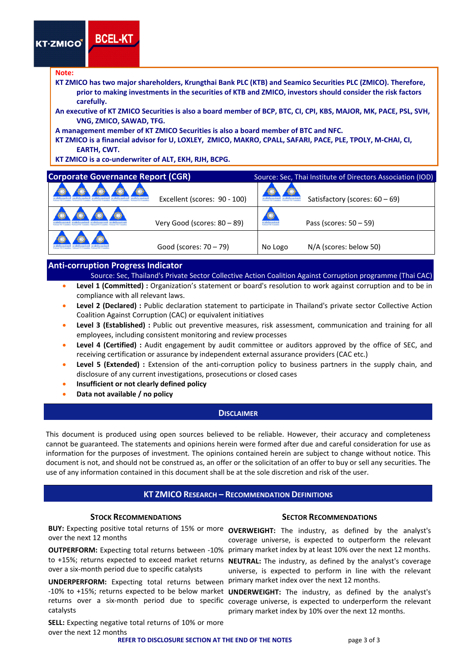**KT-ZMICO** 

#### **Note:**

- **KT ZMICO has two major shareholders, Krungthai Bank PLC (KTB) and Seamico Securities PLC (ZMICO). Therefore,** prior to making investments in the securities of KTB and ZMICO, investors should consider the risk factors **carefully.**
- An executive of KT ZMICO Securities is also a board member of BCP, BTC, CI, CPI, KBS, MAJOR, MK, PACE, PSL, SVH, **VNG, ZMICO, SAWAD, TFG.**
- **A management member of KT ZMICO Securities is also a board member of BTC and NFC.**
- KT ZMICO is a financial advisor for U, LOXLEY, ZMICO, MAKRO, CPALL, SAFARI, PACE, PLE, TPOLY, M-CHAI, CI, **EARTH, CWT.**
- **KT ZMICO is a co‐underwriter of ALT, EKH, RJH, BCPG.**

| <b>Corporate Governance Report (CGR)</b> |                              |         | Source: Sec, Thai Institute of Directors Association (IOD) |
|------------------------------------------|------------------------------|---------|------------------------------------------------------------|
|                                          | Excellent (scores: 90 - 100) |         | Satisfactory (scores: $60 - 69$ )                          |
|                                          | Very Good (scores: 80 - 89)  |         | Pass (scores: $50 - 59$ )                                  |
|                                          | Good (scores: $70 - 79$ )    | No Logo | N/A (scores: below 50)                                     |

#### **Anti‐corruption Progress Indicator**

**BCEL-K1** 

- Source: Sec, Thailand's Private Sector Collective Action Coalition Against Corruption programme (Thai CAC)
- **Level 1 (Committed) :** Organization's statement or board's resolution to work against corruption and to be in compliance with all relevant laws.
- **Level 2 (Declared) :** Public declaration statement to participate in Thailand's private sector Collective Action Coalition Against Corruption (CAC) or equivalent initiatives
- **Level 3 (Established) :** Public out preventive measures, risk assessment, communication and training for all employees, including consistent monitoring and review processes
- **Level 4 (Certified) :** Audit engagement by audit committee or auditors approved by the office of SEC, and receiving certification or assurance by independent external assurance providers (CAC etc.)
- **Level 5 (Extended) :** Extension of the anti‐corruption policy to business partners in the supply chain, and disclosure of any current investigations, prosecutions or closed cases
- **Insufficient or not clearly defined policy**
- **Data not available / no policy**

#### **DISCLAIMER**

This document is produced using open sources believed to be reliable. However, their accuracy and completeness cannot be guaranteed. The statements and opinions herein were formed after due and careful consideration for use as information for the purposes of investment. The opinions contained herein are subject to change without notice. This document is not, and should not be construed as, an offer or the solicitation of an offer to buy or sell any securities. The use of any information contained in this document shall be at the sole discretion and risk of the user.

#### **KT ZMICO RESEARCH – RECOMMENDATION DEFINITIONS**

BUY: Expecting positive total returns of 15% or more **OVERWEIGHT**: The industry, as defined by the analyst's over the next 12 months

to +15%; returns expected to exceed market returns **NEUTRAL:** The industry, as defined by the analyst's coverage over a six‐month period due to specific catalysts

UNDERPERFORM: Expecting total returns between primary market index over the next 12 months. catalysts

**SELL:** Expecting negative total returns of 10% or more over the next 12 months

#### **STOCK RECOMMENDATIONS SECTOR RECOMMENDATIONS**

**OUTPERFORM:** Expecting total returns between -10% primary market index by at least 10% over the next 12 months. coverage universe, is expected to outperform the relevant

universe, is expected to perform in line with the relevant

-10% to +15%; returns expected to be below market **UNDERWEIGHT:** The industry, as defined by the analyst's returns over a six-month period due to specific coverage universe, is expected to underperform the relevant primary market index by 10% over the next 12 months.